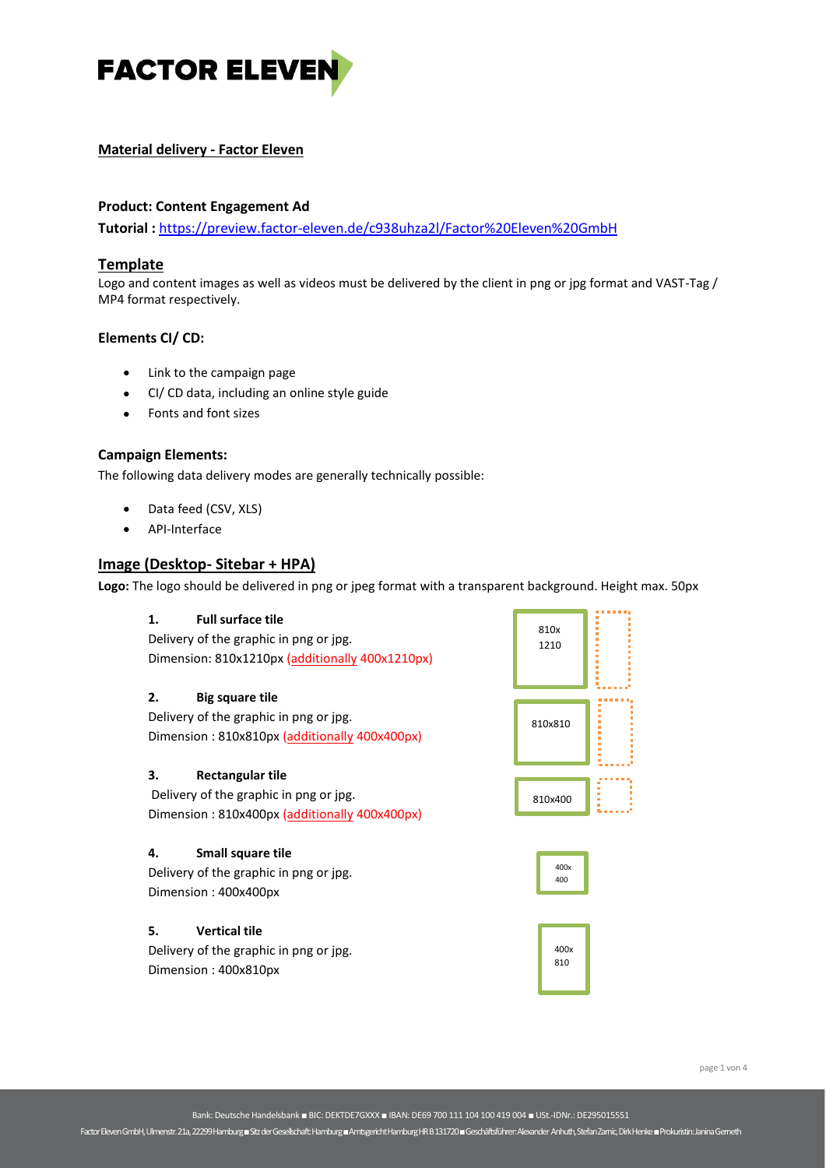

# **Material delivery - Factor Eleven**

# **Product: Content Engagement Ad**

**Tutorial :** <https://preview.factor-eleven.de/c938uhza2l/Factor%20Eleven%20GmbH>

## **Template**

Logo and content images as well as videos must be delivered by the client in png or jpg format and VAST-Tag / MP4 format respectively.

### **Elements CI/ CD:**

- Link to the campaign page
- CI/ CD data, including an online style guide
- Fonts and font sizes

### **Campaign Elements:**

The following data delivery modes are generally technically possible:

- Data feed (CSV, XLS)
- API-Interface

## **Image (Desktop- Sitebar + HPA)**

**Logo:** The logo should be delivered in png or jpeg format with a transparent background. Height max. 50px

### **1. Full surface tile** Delivery of the graphic in png or jpg. Dimension: 810x1210px (additionally 400x1210px) **2. Big square tile** Delivery of the graphic in png or jpg. Dimension : 810x810px (additionally 400x400px) **3. Rectangular tile** Delivery of the graphic in png or jpg. Dimension : 810x400px (additionally 400x400px) **4. Small square tile** Delivery of the graphic in png or jpg. Dimension : 400x400px **5. Vertical tile** Delivery of the graphic in png or jpg. Dimension : 400x810px 810x810 810x400 px 400x 400 810x 1210 400x 810

Factor Eleven GmbH, Ulmenstr. 21a, 22299 Hamburg ■Sitz der Gesellschaft: Hamburg ■Amtsgericht Hamburg HR B 131720 ■ Geschäftsführer: Alexander Anhuth, Stefan Zarnic, Dirk Henke■Prokuristin: Janina Gemeth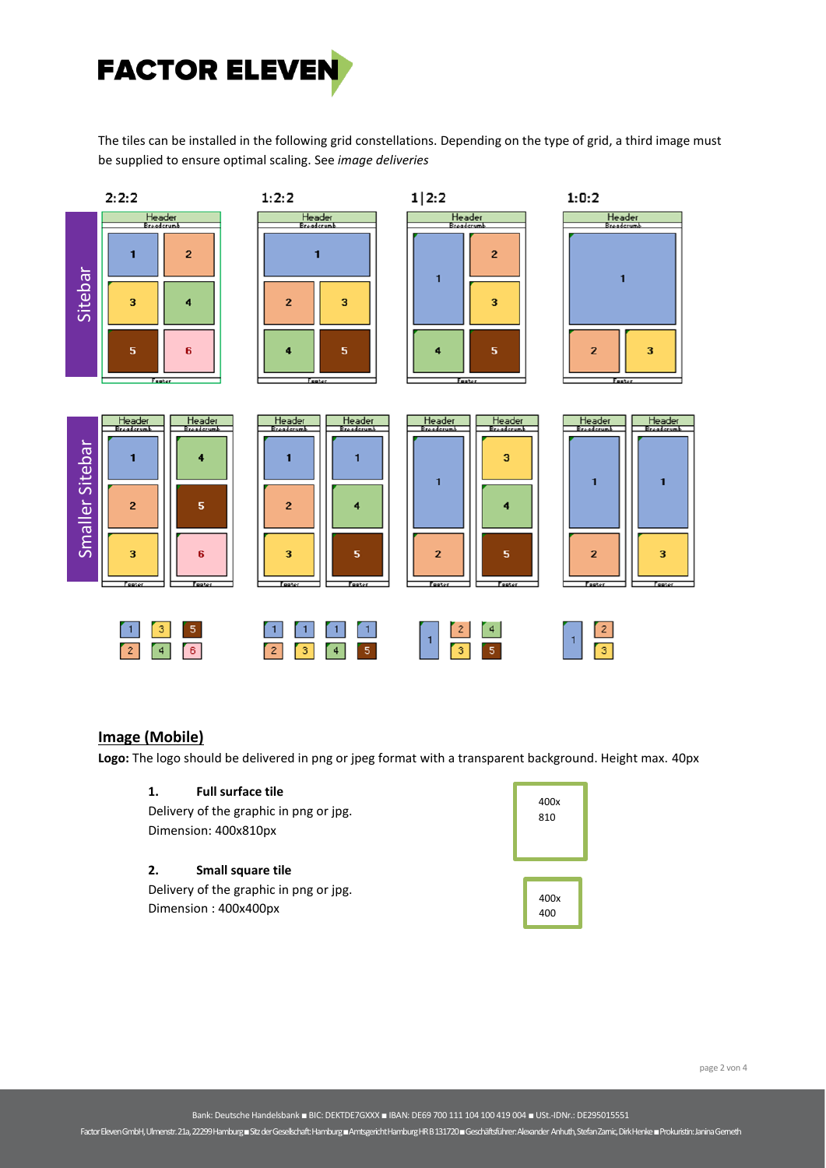

The tiles can be installed in the following grid constellations. Depending on the type of grid, a third image must be supplied to ensure optimal scaling. See *image deliveries*



# **Image (Mobile)**

**Logo:** The logo should be delivered in png or jpeg format with a transparent background. Height max. 40px

# **1. Full surface tile**

Delivery of the graphic in png or jpg. Dimension: 400x810px

#### **2. Small square tile**

Delivery of the graphic in png or jpg. Dimension : 400x400px

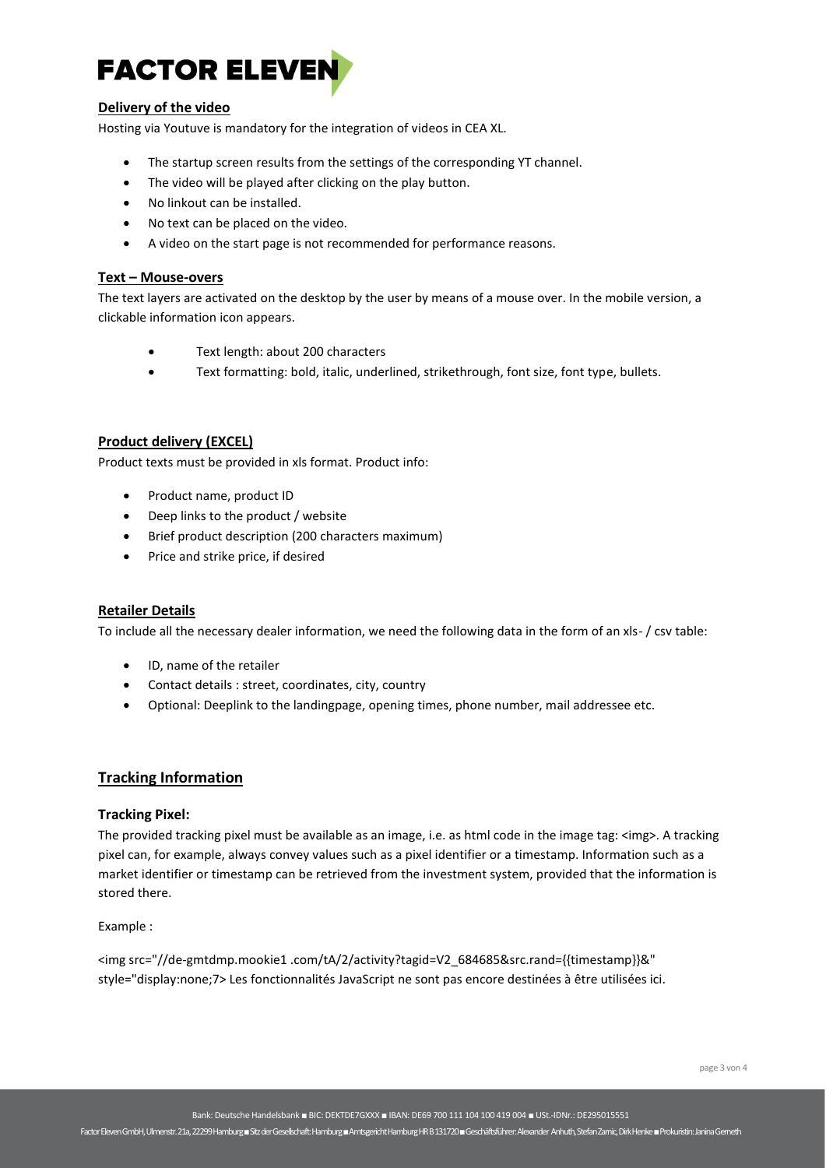

# **Delivery of the video**

Hosting via Youtuve is mandatory for the integration of videos in CEA XL.

- The startup screen results from the settings of the corresponding YT channel.
- The video will be played after clicking on the play button.
- No linkout can be installed.
- No text can be placed on the video.
- A video on the start page is not recommended for performance reasons.

#### **Text – Mouse-overs**

The text layers are activated on the desktop by the user by means of a mouse over. In the mobile version, a clickable information icon appears.

- Text length: about 200 characters
- Text formatting: bold, italic, underlined, strikethrough, font size, font type, bullets.

## **Product delivery (EXCEL)**

Product texts must be provided in xls format. Product info:

- Product name, product ID
- Deep links to the product / website
- Brief product description (200 characters maximum)
- Price and strike price, if desired

#### **Retailer Details**

To include all the necessary dealer information, we need the following data in the form of an xls- / csv table:

- ID, name of the retailer
- Contact details : street, coordinates, city, country
- Optional: Deeplink to the landingpage, opening times, phone number, mail addressee etc.

## **Tracking Information**

#### **Tracking Pixel:**

The provided tracking pixel must be available as an image, i.e. as html code in the image tag: <img>. A tracking pixel can, for example, always convey values such as a pixel identifier or a timestamp. Information such as a market identifier or timestamp can be retrieved from the investment system, provided that the information is stored there.

#### Example :

<img src="//de-gmtdmp.mookie1 .com/tA/2/activity?tagid=V2\_684685&src.rand={{timestamp}}&" style="display:none;7> Les fonctionnalités JavaScript ne sont pas encore destinées à être utilisées ici.